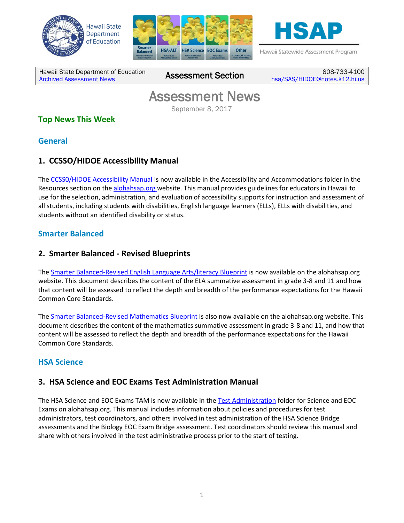





Hawaii Statewide Assessment Program

Hawaii State Department of Education **Assessment News** Assessment Section

808-733-4100 [hsa/SAS/HIDOE@notes.k12.hi.us](mailto:hsa/SAS/HIDOE@notes.k12.hi.us)

# Assessment News

September 8, 2017

## **Top News This Week**

#### **General**

## **1. CCSSO/HIDOE Accessibility Manual**

The [CCSS0/HIDOE Accessibility Manual i](http://alohahsap.org/SMARTERBALANCED/wp-content/uploads/CCSSO-HIDOE-Accessibility-Manual_2017-2018.pdf)s now available in the Accessibility and Accommodations folder in the Resources section on the [alohahsap.org w](http://alohahsap.org/SMARTERBALANCED/resources/)ebsite. This manual provides guidelines for educators in Hawaii to use for the selection, administration, and evaluation of accessibility supports for instruction and assessment of all students, including students with disabilities, English language learners (ELLs), ELLs with disabilities, and students without an identified disability or status.

#### **Smarter Balanced**

#### **2. Smarter Balanced - Revised Blueprints**

The Smarter Balanced-Revised [English Language Arts/literacy Blueprint](http://alohahsap.org/SMARTERBALANCED/wp-content/uploads/HI_ELA_Summative_Blueprint_090117.pdf) is now available on the alohahsap.org website. This document describes the content of the ELA summative assessment in grade 3-8 and 11 and how that content will be assessed to reflect the depth and breadth of the performance expectations for the Hawaii Common Core Standards.

The [Smarter Balanced-Revised](http://alohahsap.org/SMARTERBALANCED/wp-content/uploads/HI_Mathematics_Summative_Blueprint_090117.pdf) Mathematics Blueprint is also now available on the alohahsap.org website. This document describes the content of the mathematics summative assessment in grade 3-8 and 11, and how that content will be assessed to reflect the depth and breadth of the performance expectations for the Hawaii Common Core Standards.

## **HSA Science**

#### **3. HSA Science and EOC Exams Test Administration Manual**

The HSA Science and EOC Exams TAM is now available in the [Test Administration](http://alohahsap.org/HSA/resources/?section=1) folder for Science and EOC Exams on alohahsap.org. This manual includes information about policies and procedures for test administrators, test coordinators, and others involved in test administration of the HSA Science Bridge assessments and the Biology EOC Exam Bridge assessment. Test coordinators should review this manual and share with others involved in the test administrative process prior to the start of testing.